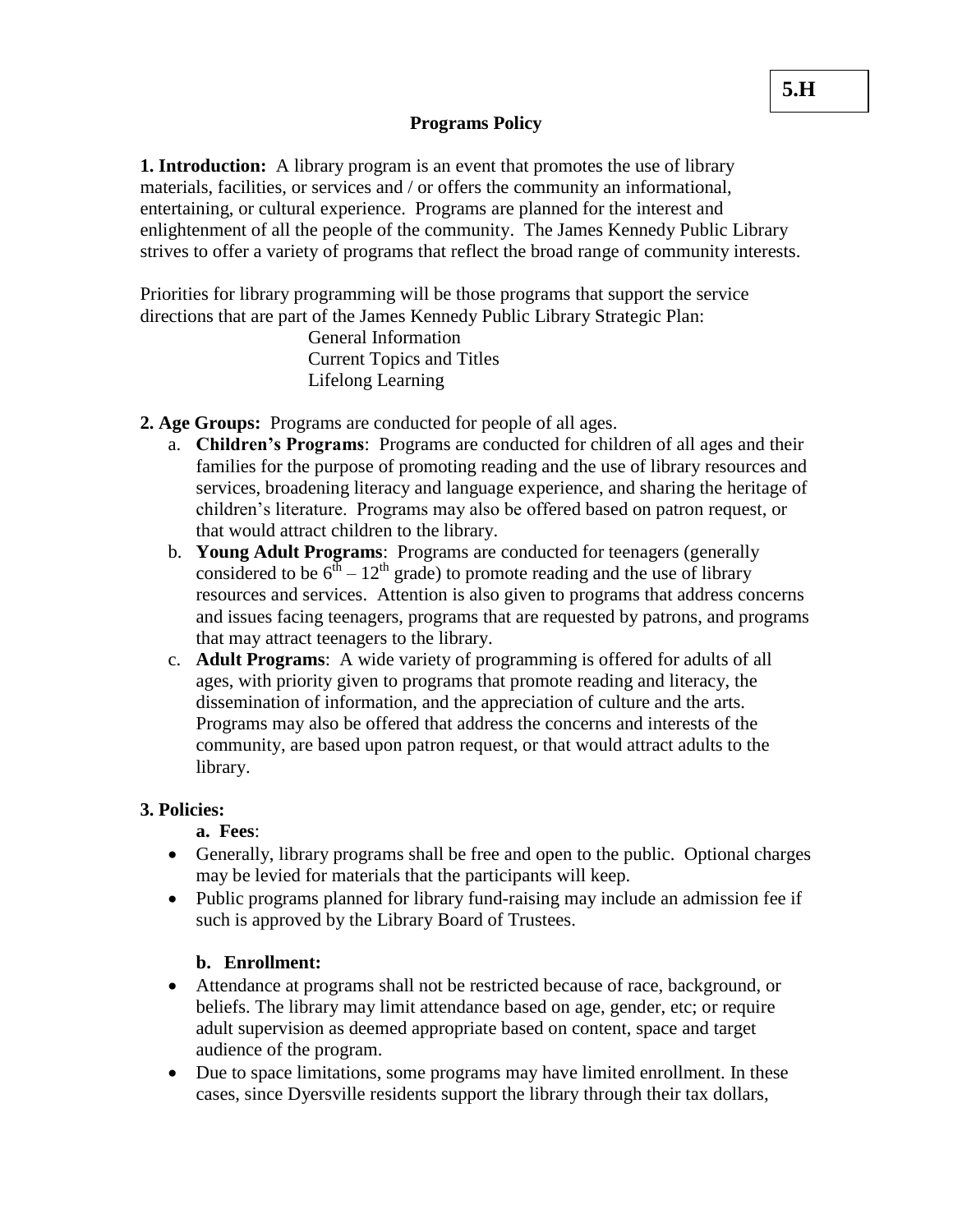## **Programs Policy**

**1. Introduction:** A library program is an event that promotes the use of library materials, facilities, or services and / or offers the community an informational, entertaining, or cultural experience. Programs are planned for the interest and enlightenment of all the people of the community. The James Kennedy Public Library strives to offer a variety of programs that reflect the broad range of community interests.

Priorities for library programming will be those programs that support the service directions that are part of the James Kennedy Public Library Strategic Plan:

> General Information Current Topics and Titles Lifelong Learning

**2. Age Groups:** Programs are conducted for people of all ages.

- a. **Children's Programs**: Programs are conducted for children of all ages and their families for the purpose of promoting reading and the use of library resources and services, broadening literacy and language experience, and sharing the heritage of children's literature. Programs may also be offered based on patron request, or that would attract children to the library.
- b. **Young Adult Programs**: Programs are conducted for teenagers (generally considered to be  $6^{th} - 12^{th}$  grade) to promote reading and the use of library resources and services. Attention is also given to programs that address concerns and issues facing teenagers, programs that are requested by patrons, and programs that may attract teenagers to the library.
- c. **Adult Programs**: A wide variety of programming is offered for adults of all ages, with priority given to programs that promote reading and literacy, the dissemination of information, and the appreciation of culture and the arts. Programs may also be offered that address the concerns and interests of the community, are based upon patron request, or that would attract adults to the library.

# **3. Policies:**

**a. Fees**:

- Generally, library programs shall be free and open to the public. Optional charges may be levied for materials that the participants will keep.
- Public programs planned for library fund-raising may include an admission fee if such is approved by the Library Board of Trustees.

# **b. Enrollment:**

- Attendance at programs shall not be restricted because of race, background, or beliefs. The library may limit attendance based on age, gender, etc; or require adult supervision as deemed appropriate based on content, space and target audience of the program.
- Due to space limitations, some programs may have limited enrollment. In these cases, since Dyersville residents support the library through their tax dollars,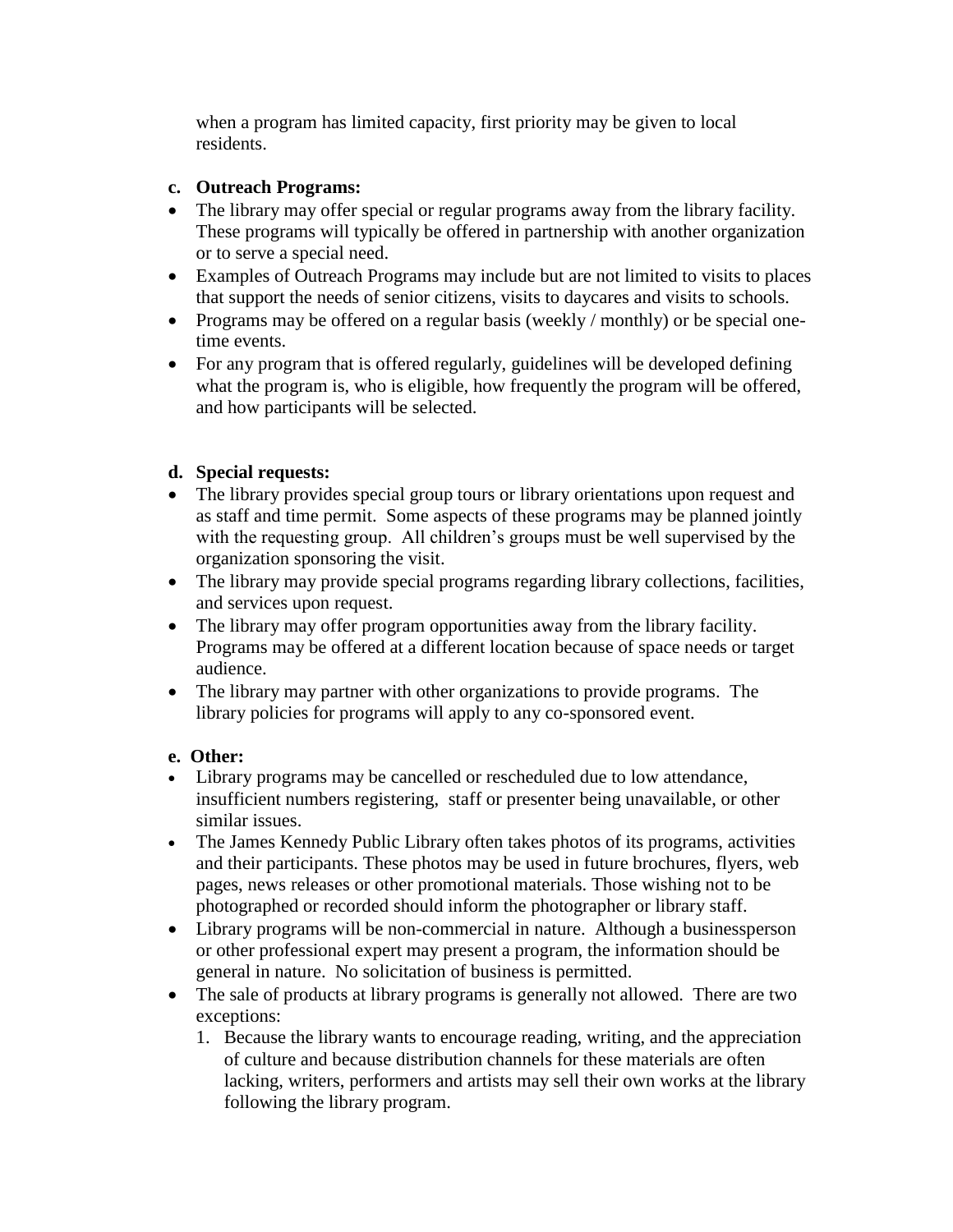when a program has limited capacity, first priority may be given to local residents.

# **c. Outreach Programs:**

- The library may offer special or regular programs away from the library facility. These programs will typically be offered in partnership with another organization or to serve a special need.
- Examples of Outreach Programs may include but are not limited to visits to places that support the needs of senior citizens, visits to daycares and visits to schools.
- Programs may be offered on a regular basis (weekly / monthly) or be special onetime events.
- For any program that is offered regularly, guidelines will be developed defining what the program is, who is eligible, how frequently the program will be offered, and how participants will be selected.

# **d. Special requests:**

- The library provides special group tours or library orientations upon request and as staff and time permit. Some aspects of these programs may be planned jointly with the requesting group. All children's groups must be well supervised by the organization sponsoring the visit.
- The library may provide special programs regarding library collections, facilities, and services upon request.
- The library may offer program opportunities away from the library facility. Programs may be offered at a different location because of space needs or target audience.
- The library may partner with other organizations to provide programs. The library policies for programs will apply to any co-sponsored event.

# **e. Other:**

- Library programs may be cancelled or rescheduled due to low attendance, insufficient numbers registering, staff or presenter being unavailable, or other similar issues.
- The James Kennedy Public Library often takes photos of its programs, activities and their participants. These photos may be used in future brochures, flyers, web pages, news releases or other promotional materials. Those wishing not to be photographed or recorded should inform the photographer or library staff.
- Library programs will be non-commercial in nature. Although a businessperson or other professional expert may present a program, the information should be general in nature. No solicitation of business is permitted.
- The sale of products at library programs is generally not allowed. There are two exceptions:
	- 1. Because the library wants to encourage reading, writing, and the appreciation of culture and because distribution channels for these materials are often lacking, writers, performers and artists may sell their own works at the library following the library program.